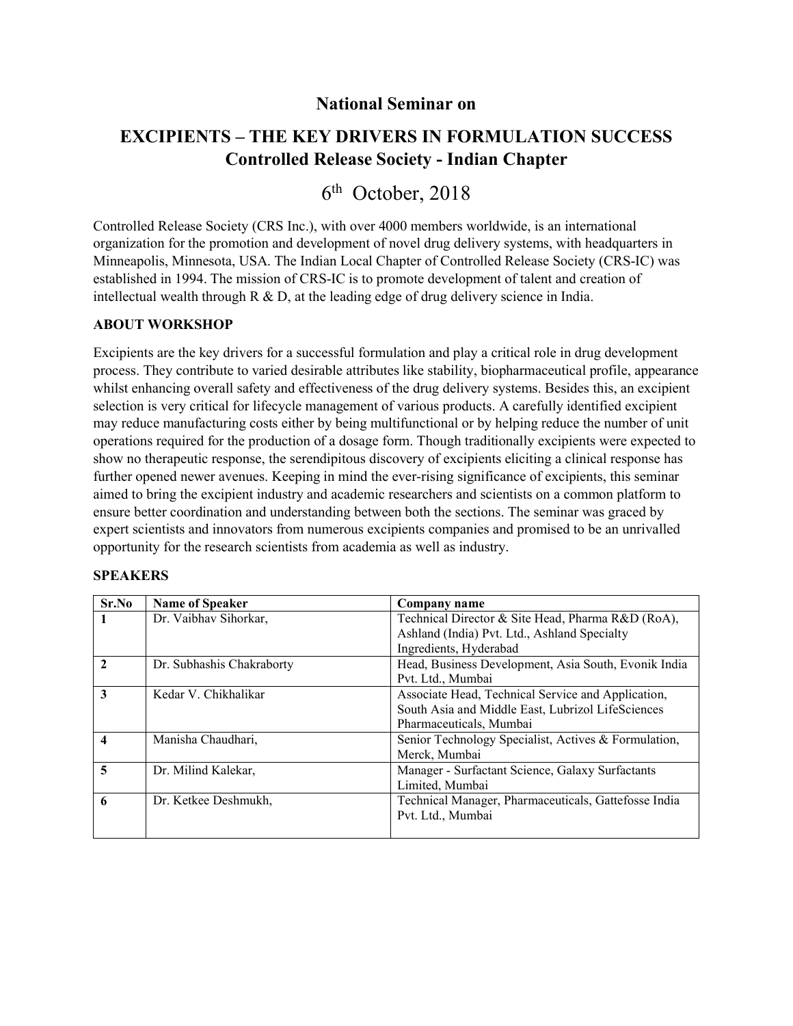## **National Seminar on**

## **EXCIPIENTS – THE KEY DRIVERS IN FORMULATION SUCCESS Controlled Release Society - Indian Chapter**

## 6th October, 2018

Controlled Release Society (CRS Inc.), with over 4000 members worldwide, is an international organization for the promotion and development of novel drug delivery systems, with headquarters in Minneapolis, Minnesota, USA. The Indian Local Chapter of Controlled Release Society (CRS-IC) was established in 1994. The mission of CRS-IC is to promote development of talent and creation of intellectual wealth through R & D, at the leading edge of drug delivery science in India.

## **ABOUT WORKSHOP**

Excipients are the key drivers for a successful formulation and play a critical role in drug development process. They contribute to varied desirable attributes like stability, biopharmaceutical profile, appearance whilst enhancing overall safety and effectiveness of the drug delivery systems. Besides this, an excipient selection is very critical for lifecycle management of various products. A carefully identified excipient may reduce manufacturing costs either by being multifunctional or by helping reduce the number of unit operations required for the production of a dosage form. Though traditionally excipients were expected to show no therapeutic response, the serendipitous discovery of excipients eliciting a clinical response has further opened newer avenues. Keeping in mind the ever-rising significance of excipients, this seminar aimed to bring the excipient industry and academic researchers and scientists on a common platform to ensure better coordination and understanding between both the sections. The seminar was graced by expert scientists and innovators from numerous excipients companies and promised to be an unrivalled opportunity for the research scientists from academia as well as industry.

| Sr.No                   | <b>Name of Speaker</b>    | Company name                                         |
|-------------------------|---------------------------|------------------------------------------------------|
|                         | Dr. Vaibhav Sihorkar,     | Technical Director & Site Head, Pharma R&D (RoA),    |
|                         |                           | Ashland (India) Pvt. Ltd., Ashland Specialty         |
|                         |                           | Ingredients, Hyderabad                               |
| $\overline{2}$          | Dr. Subhashis Chakraborty | Head, Business Development, Asia South, Evonik India |
|                         |                           | Pvt. Ltd., Mumbai                                    |
| $\overline{\mathbf{3}}$ | Kedar V. Chikhalikar      | Associate Head, Technical Service and Application,   |
|                         |                           | South Asia and Middle East, Lubrizol LifeSciences    |
|                         |                           | Pharmaceuticals, Mumbai                              |
| $\overline{\mathbf{4}}$ | Manisha Chaudhari,        | Senior Technology Specialist, Actives & Formulation, |
|                         |                           | Merck, Mumbai                                        |
| 5                       | Dr. Milind Kalekar,       | Manager - Surfactant Science, Galaxy Surfactants     |
|                         |                           | Limited, Mumbai                                      |
| 6                       | Dr. Ketkee Deshmukh,      | Technical Manager, Pharmaceuticals, Gattefosse India |
|                         |                           | Pvt. Ltd., Mumbai                                    |
|                         |                           |                                                      |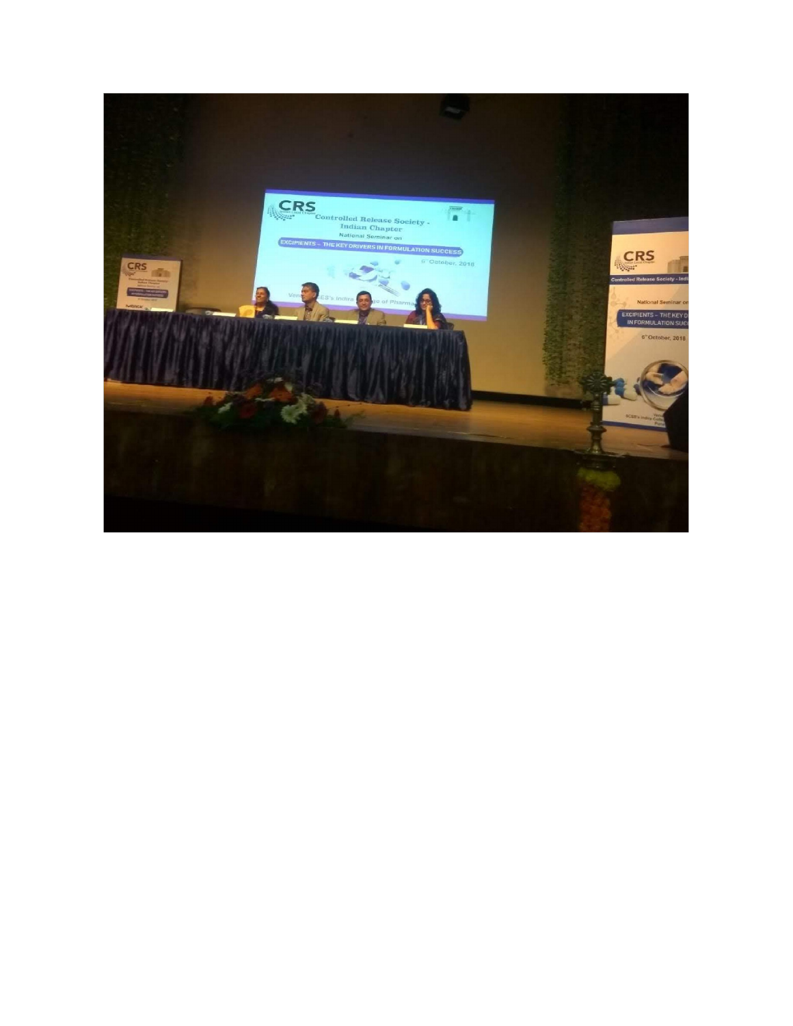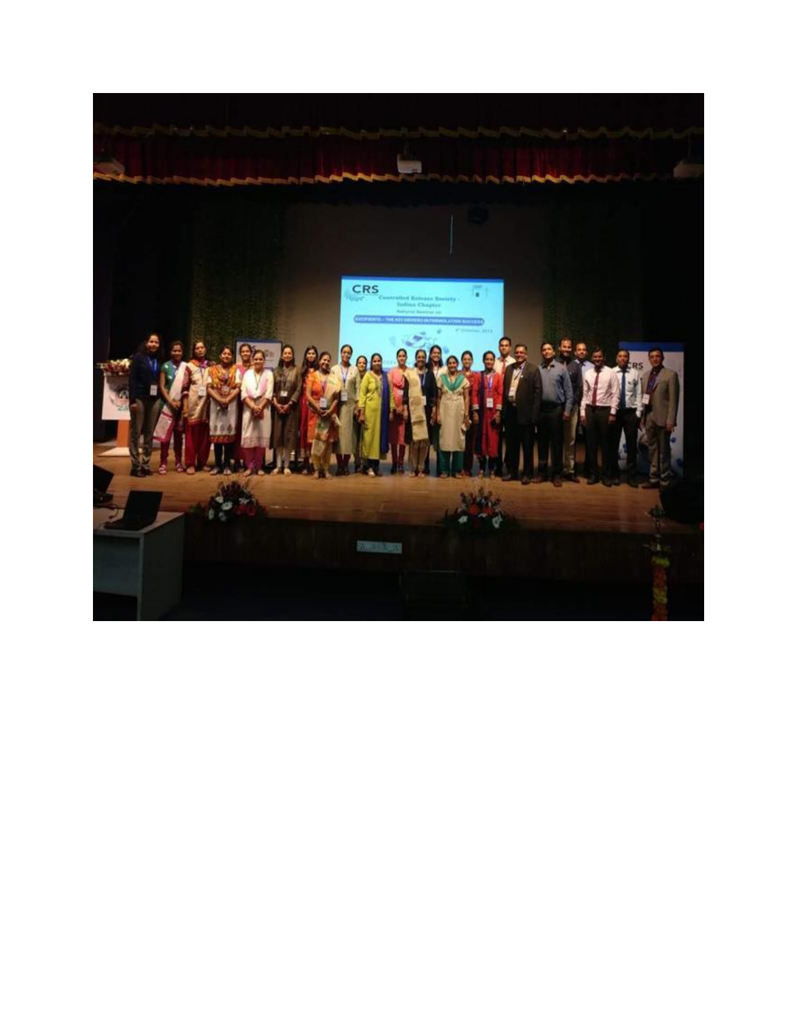